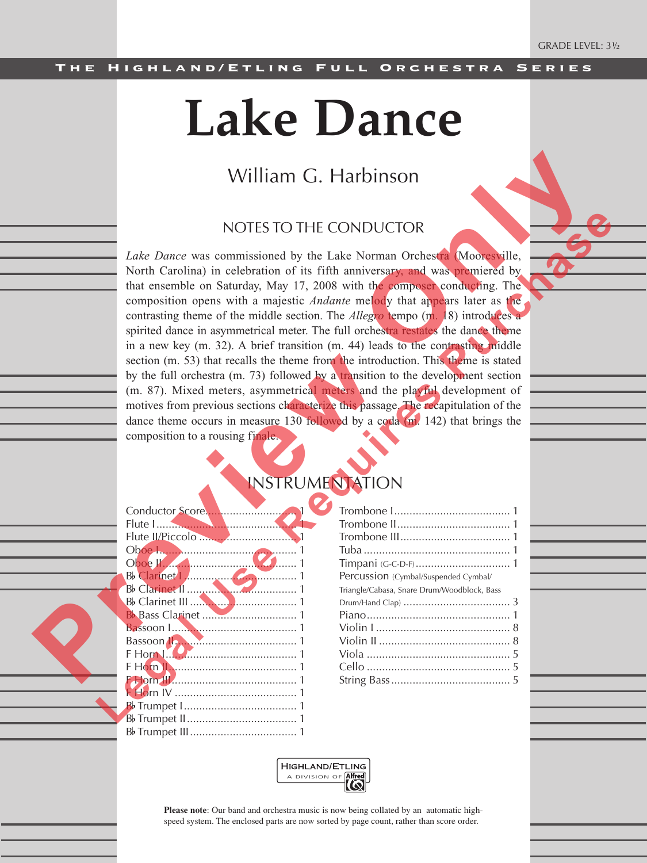#### HE HIGHLAND/ETLING FULL ORCHESTRA SERIES

# **Lake Dance**

### William G. Harbinson

#### NOTES TO THE CONDUCTOR

*Lake Dance* was commissioned by the Lake Norman Orchestra (Mooresville, North Carolina) in celebration of its fifth anniversary, and was premiered by that ensemble on Saturday, May 17, 2008 with the composer conducting. The composition opens with a majestic *Andante* melody that appears later as the contrasting theme of the middle section. The *Allegro* tempo (m. 18) introduces a spirited dance in asymmetrical meter. The full orchestra restates the dance theme in a new key (m. 32). A brief transition (m. 44) leads to the contrasting middle section (m. 53) that recalls the theme from the introduction. This theme is stated by the full orchestra (m. 73) followed by a transition to the development section (m. 87). Mixed meters, asymmetrical meters and the playful development of motives from previous sections characterize this passage. The recapitulation of the dance theme occurs in measure 130 followed by a coda (m. 142) that brings the composition to a rousing finale. William G. Harbinson<br>
NOTES TO THE CONDUCTOR<br>
Leade Dance was commissioned by the Lake Norman Orchesta<br>
Nord Cercoling in exception and the Similar antices of the film analysis of the film and the similar composition parts Legal David Control Control Control Control Control Control Control Control Control Control Control Control Control Control Control Control Control Control Control Control Control Control Control Control Control Control Co

## **INSTRUMENTATION**

| F Horn M. M. Marshall Milleton, M. M. Marshall Milleton, M. M. Marshall Milleton, M. M. M. M. M. M. |
|-----------------------------------------------------------------------------------------------------|
|                                                                                                     |
|                                                                                                     |
|                                                                                                     |
|                                                                                                     |
|                                                                                                     |
|                                                                                                     |

| Percussion (Cymbal/Suspended Cymbal/        |  |
|---------------------------------------------|--|
| Triangle/Cabasa, Snare Drum/Woodblock, Bass |  |
|                                             |  |
|                                             |  |
|                                             |  |
|                                             |  |
|                                             |  |
|                                             |  |
|                                             |  |



**Please note**: Our band and orchestra music is now being collated by an automatic highspeed system. The enclosed parts are now sorted by page count, rather than score order.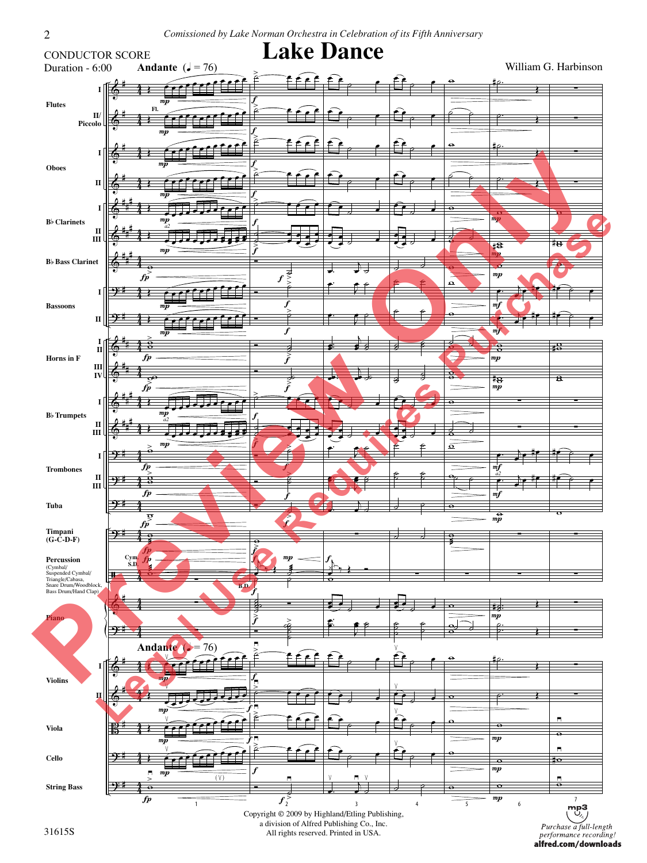

2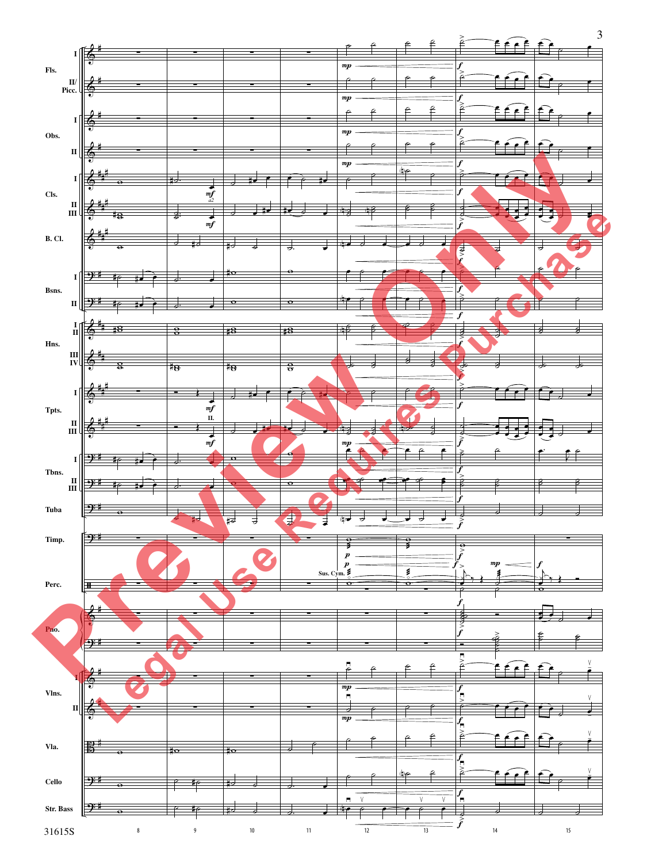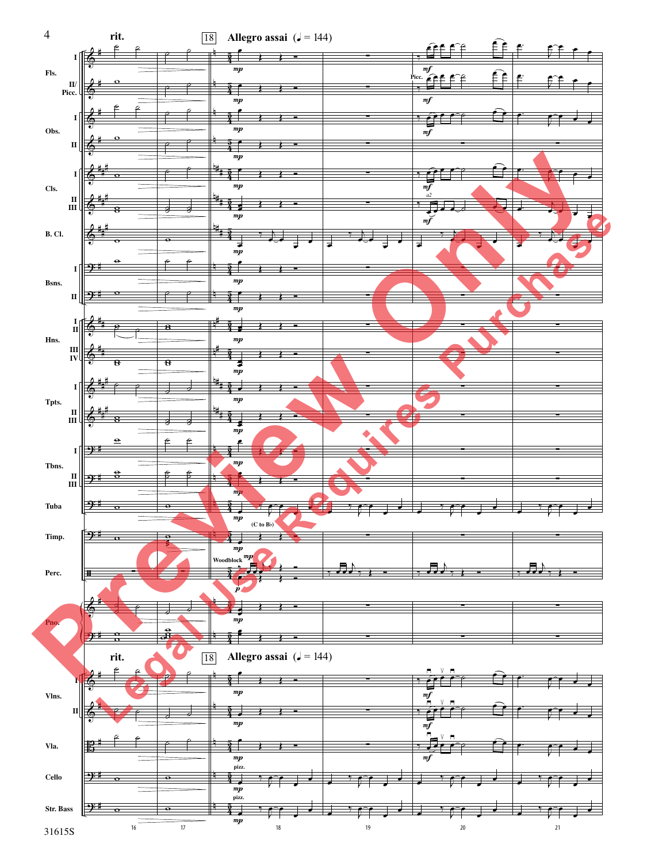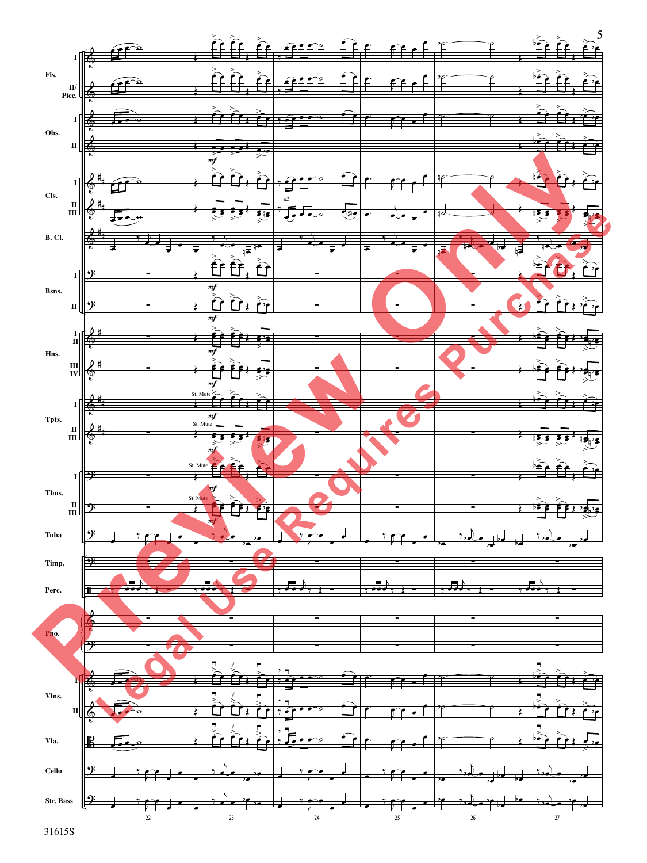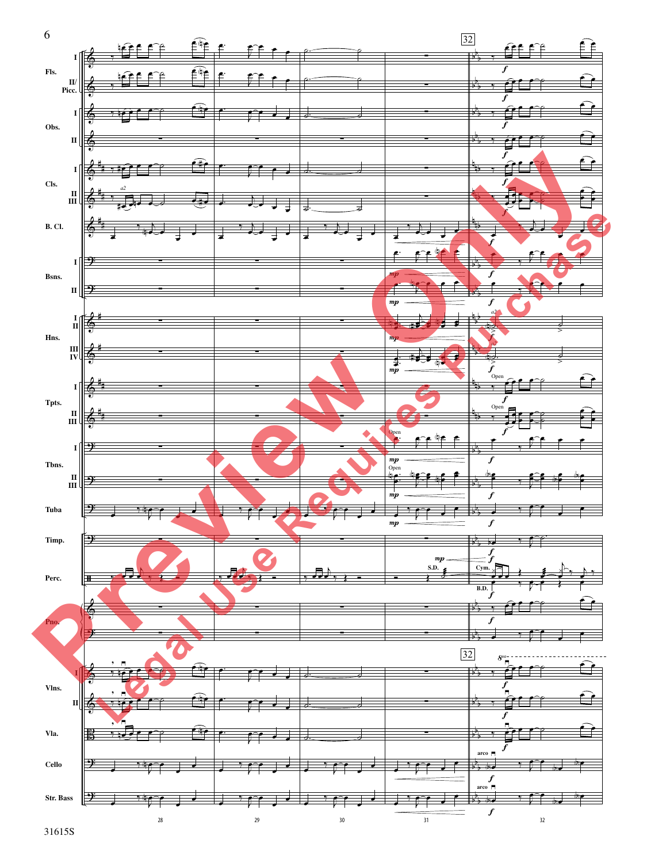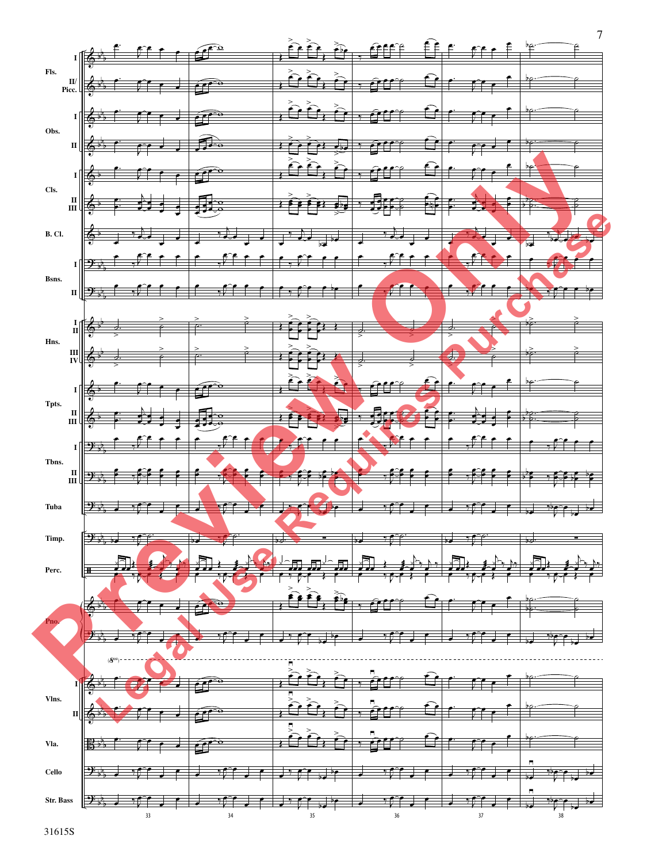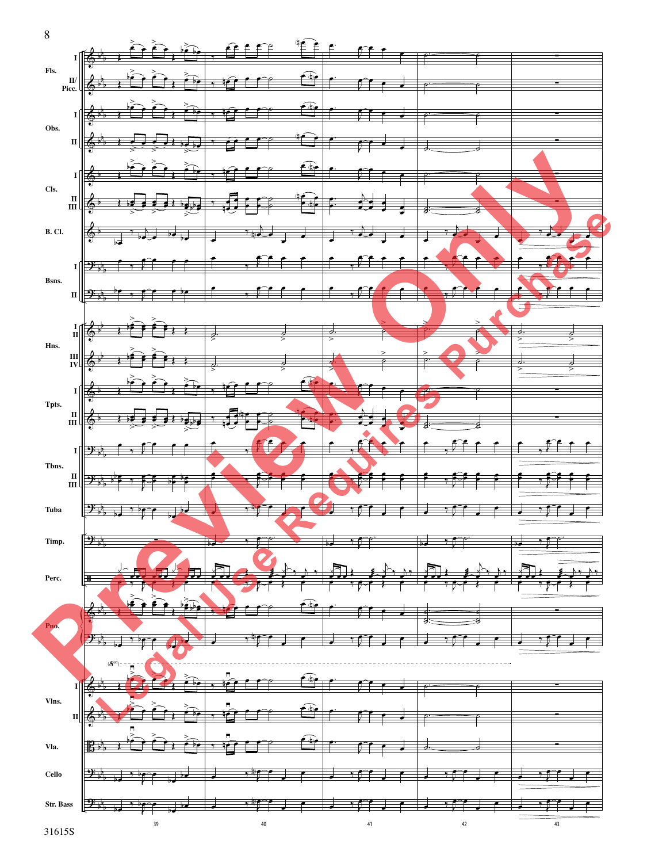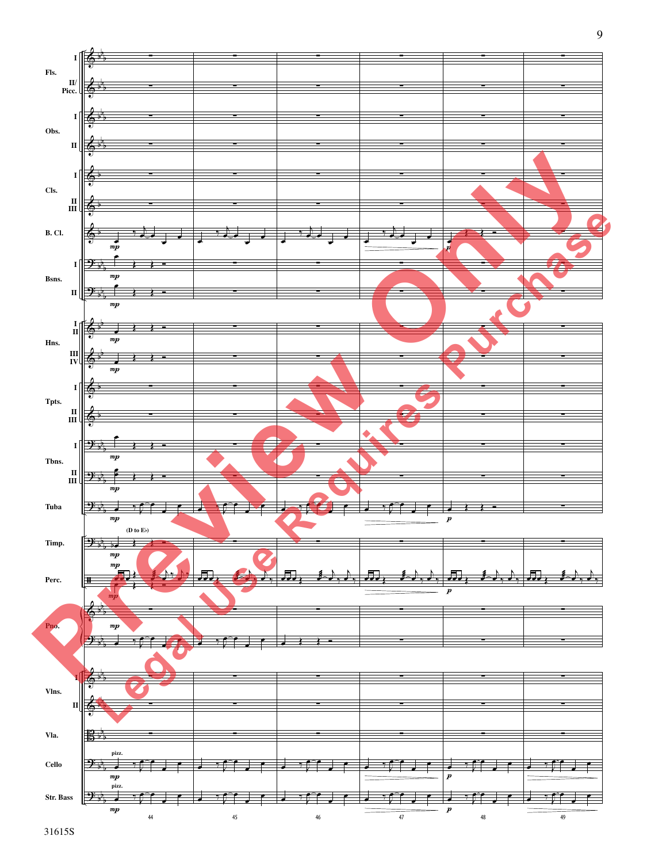![](_page_8_Figure_0.jpeg)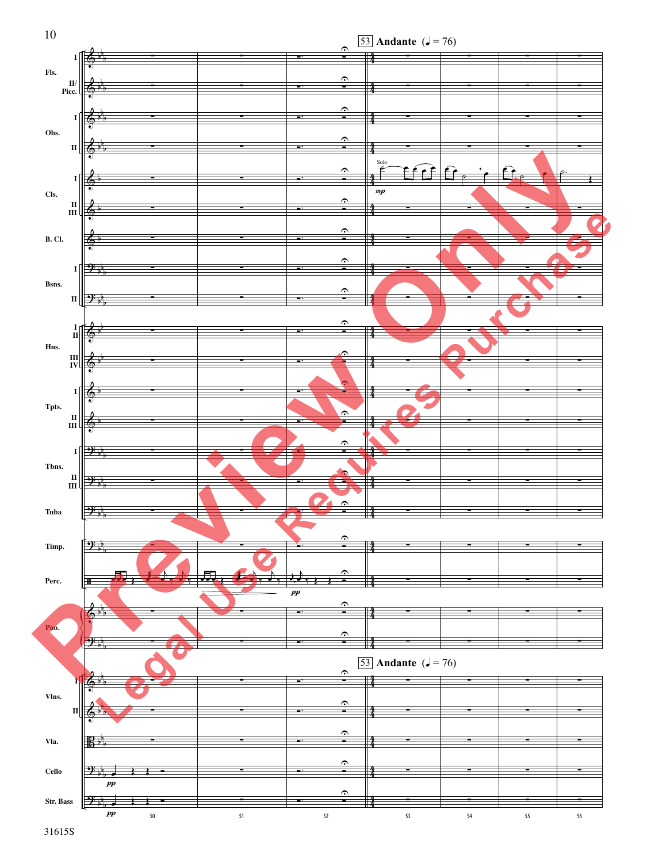![](_page_9_Figure_0.jpeg)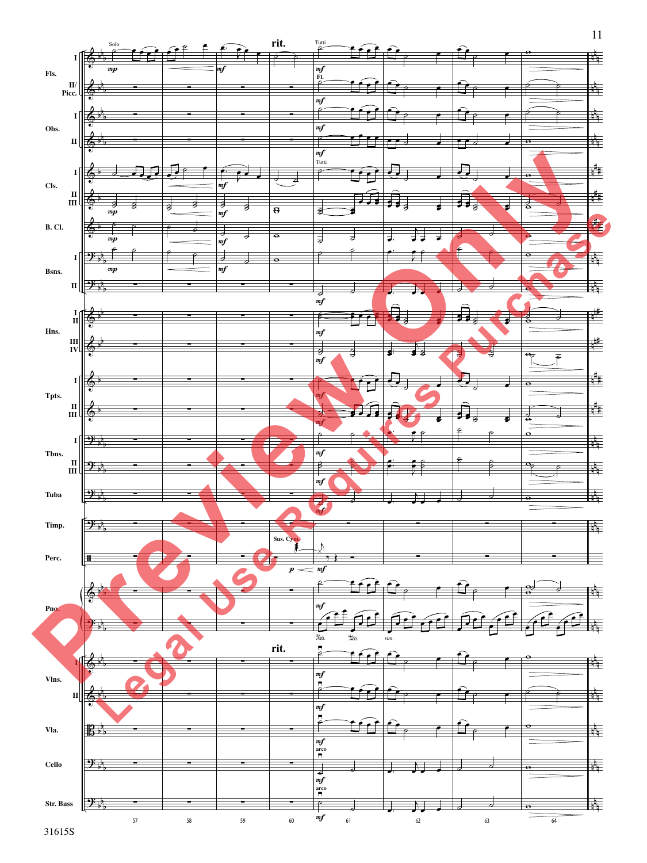![](_page_10_Figure_0.jpeg)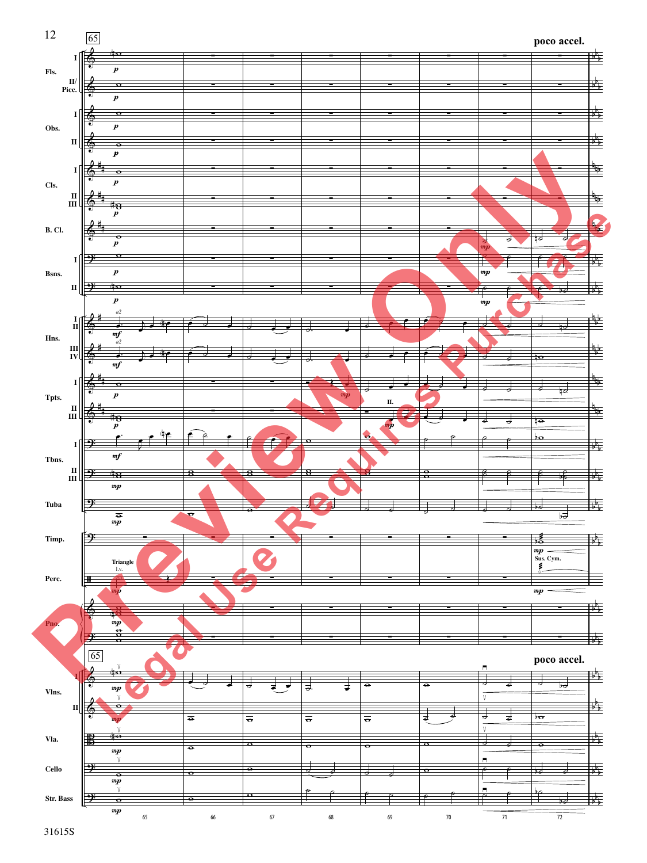![](_page_11_Figure_0.jpeg)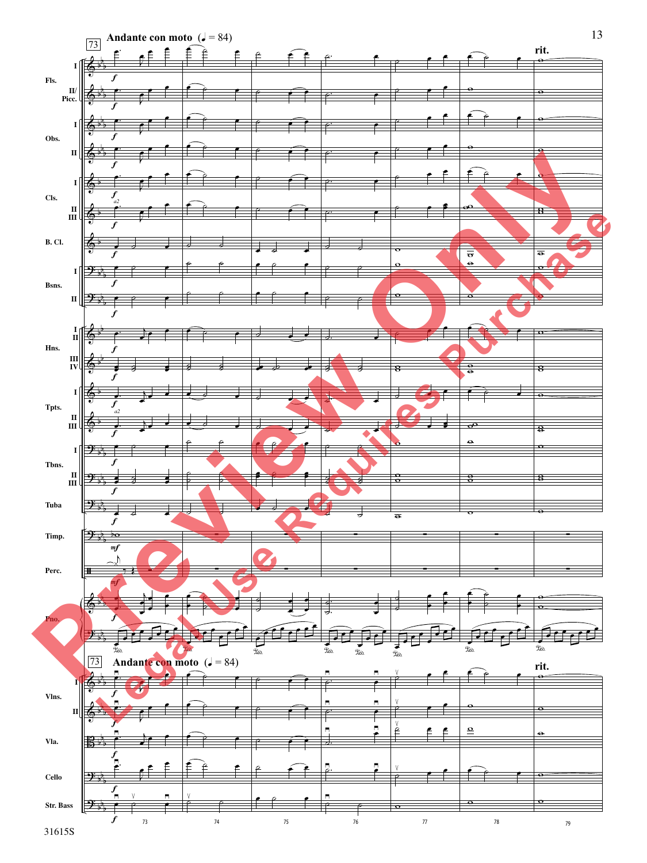![](_page_12_Figure_0.jpeg)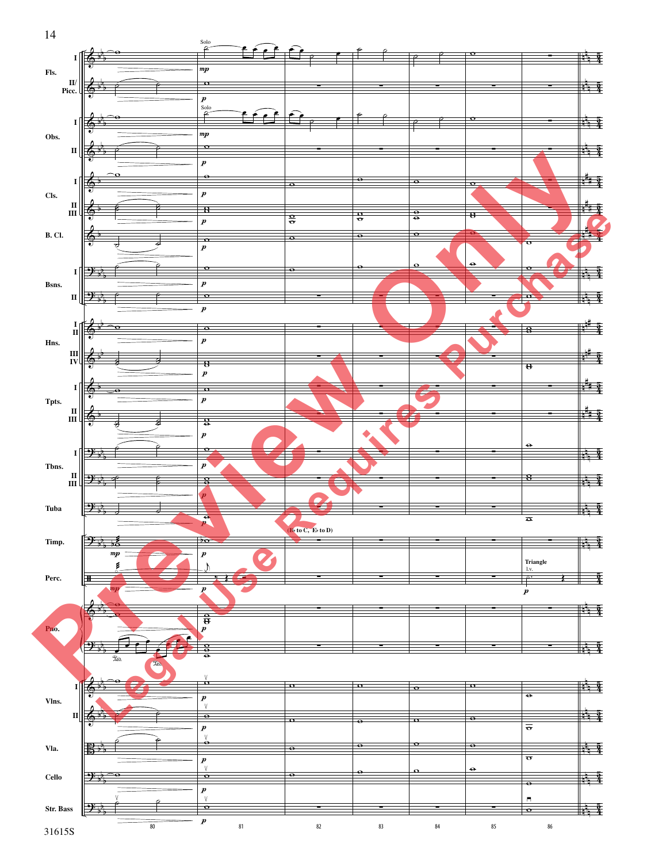![](_page_13_Figure_0.jpeg)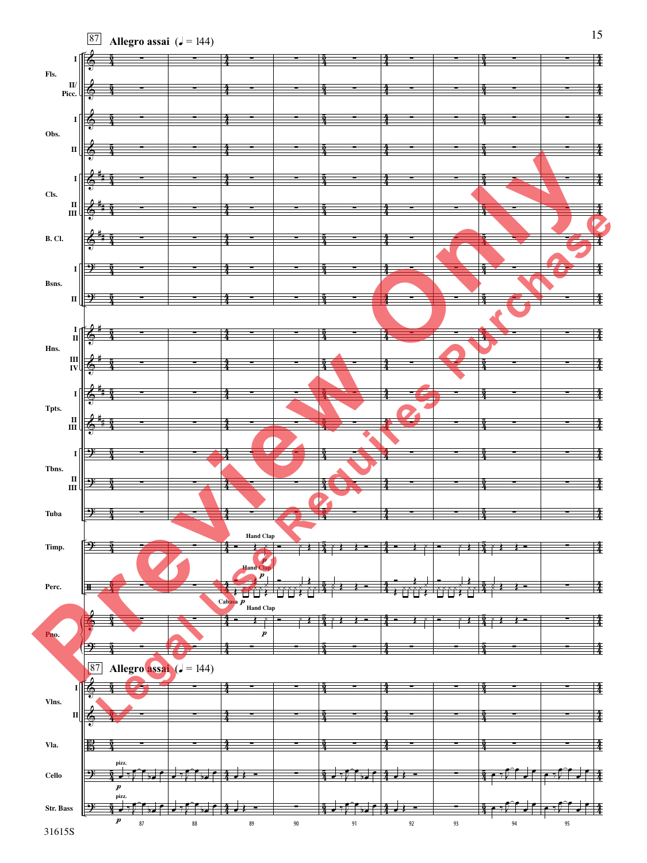![](_page_14_Figure_0.jpeg)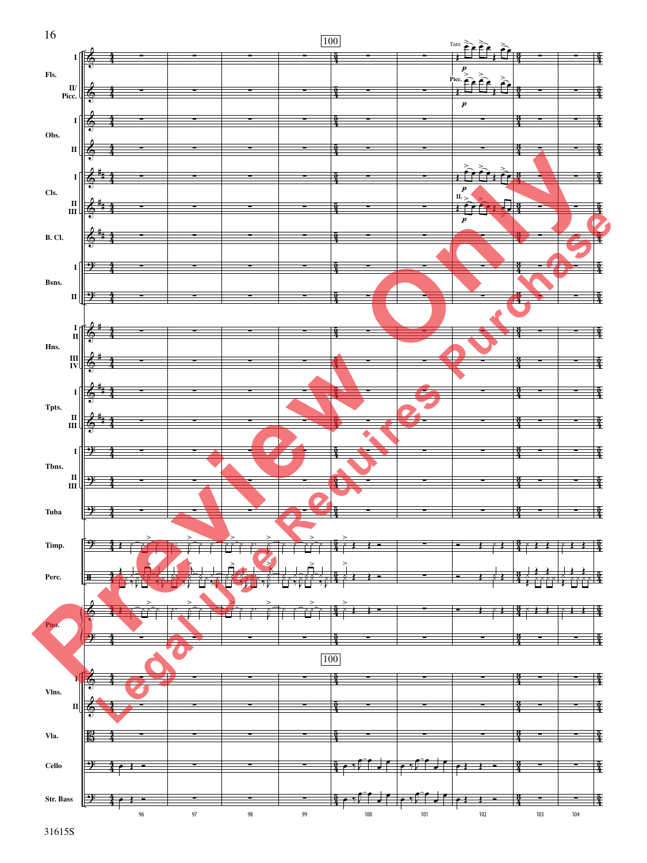![](_page_15_Figure_0.jpeg)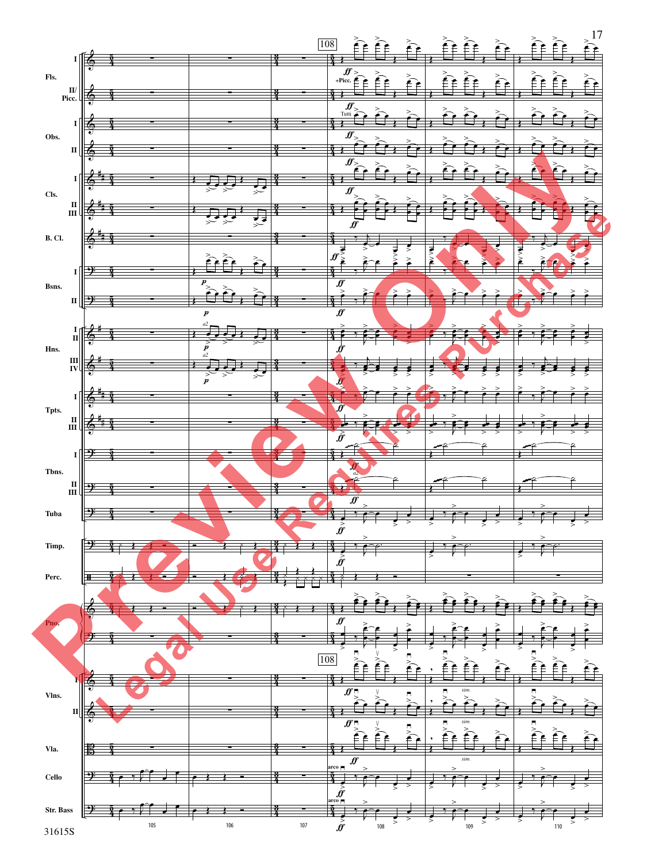![](_page_16_Figure_0.jpeg)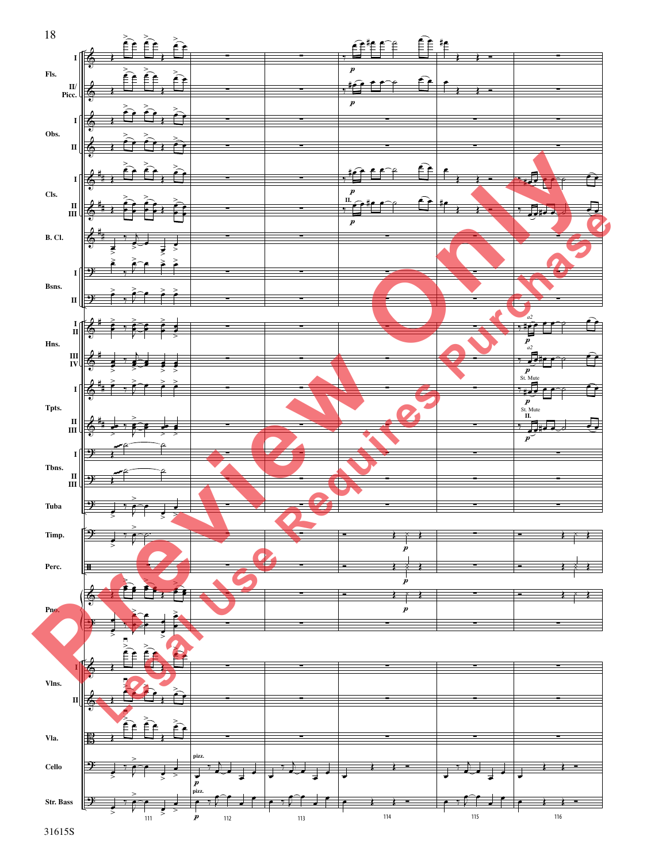![](_page_17_Figure_0.jpeg)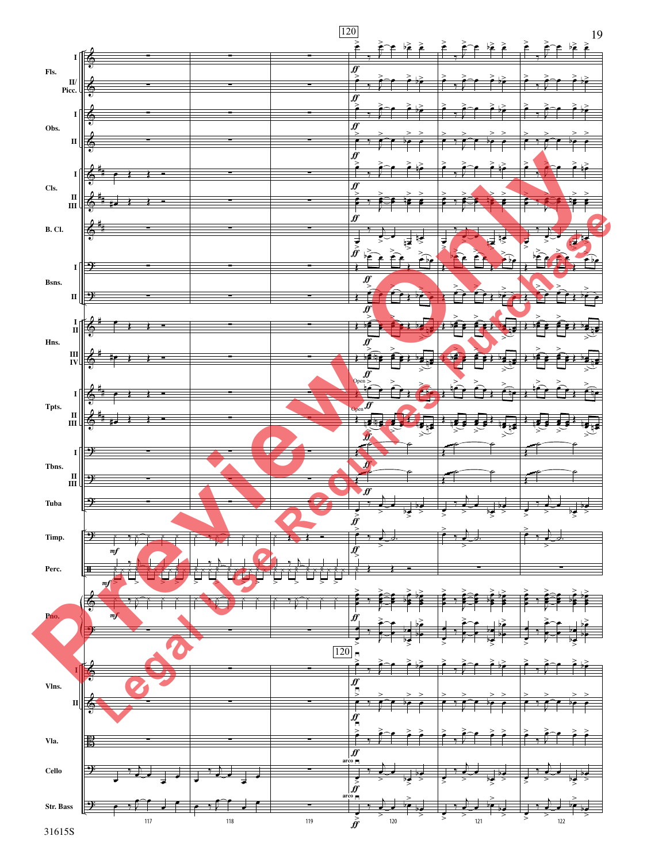![](_page_18_Figure_0.jpeg)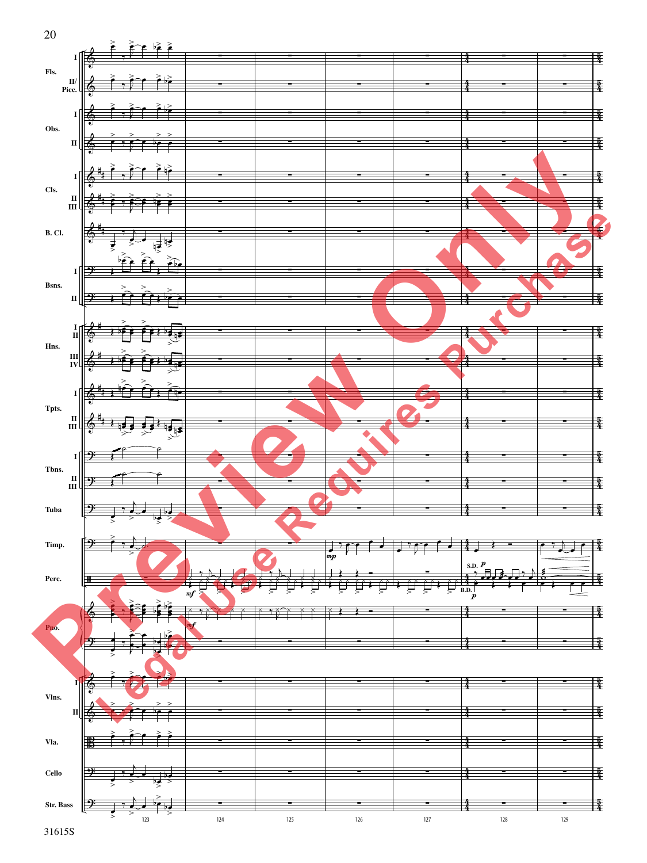![](_page_19_Figure_0.jpeg)

31615S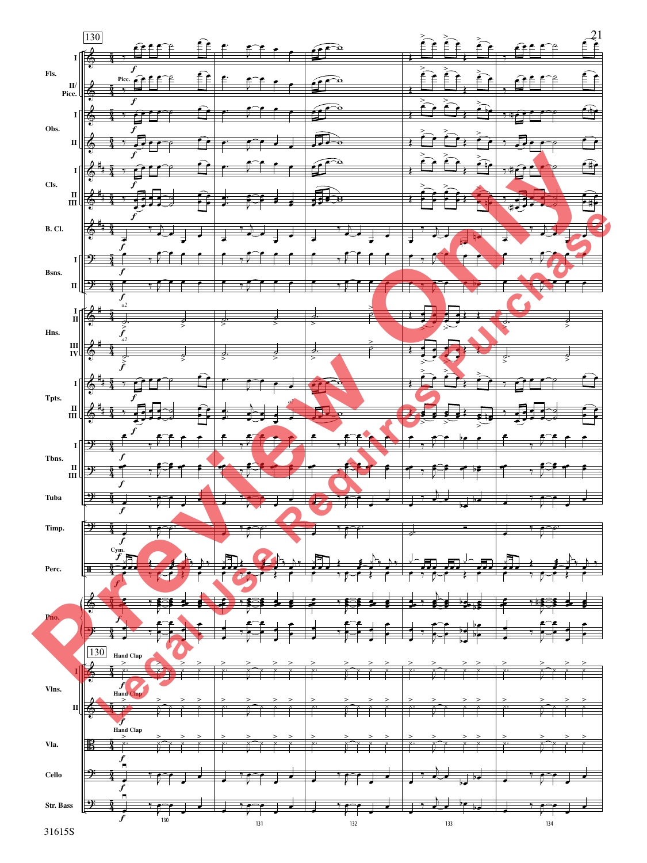![](_page_20_Figure_0.jpeg)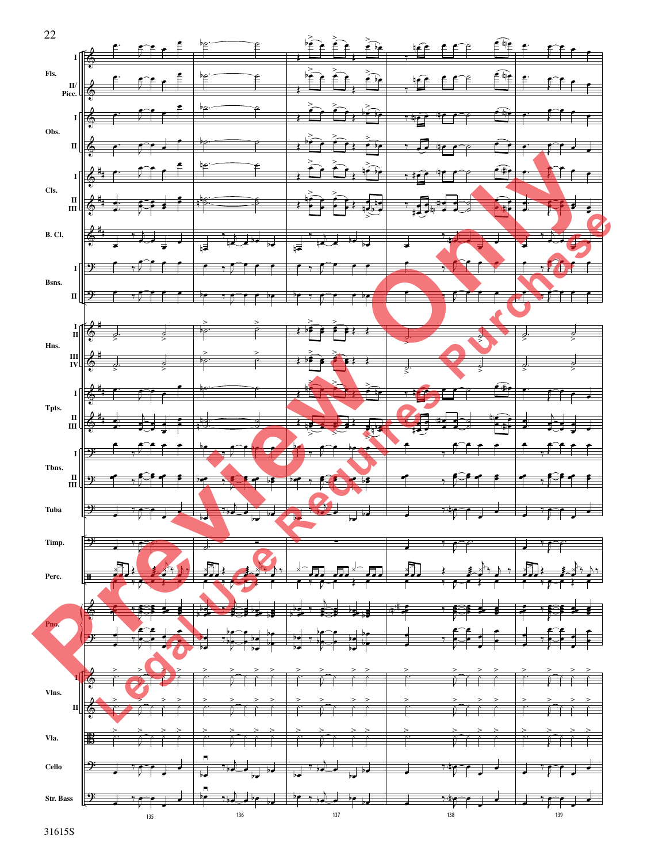![](_page_21_Figure_0.jpeg)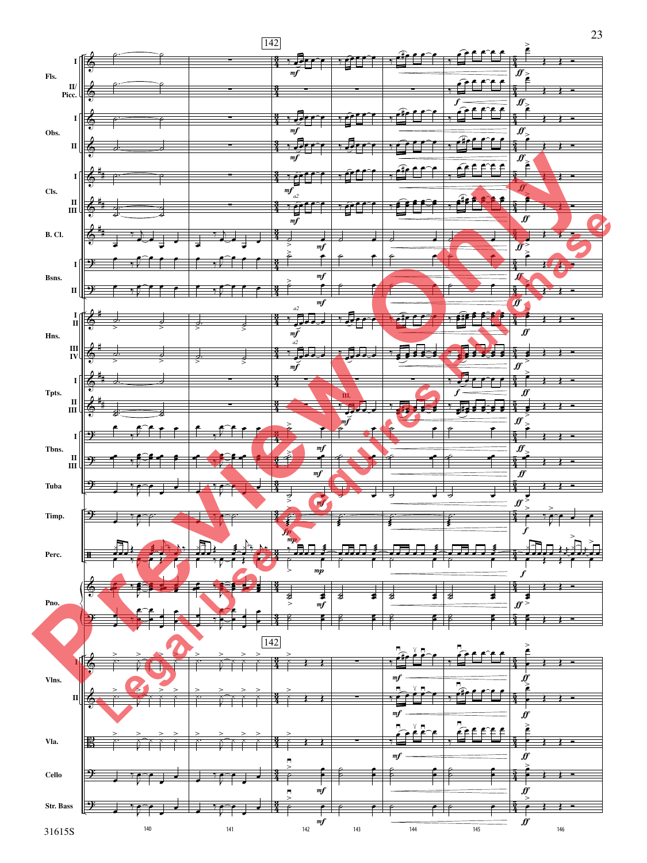![](_page_22_Figure_0.jpeg)